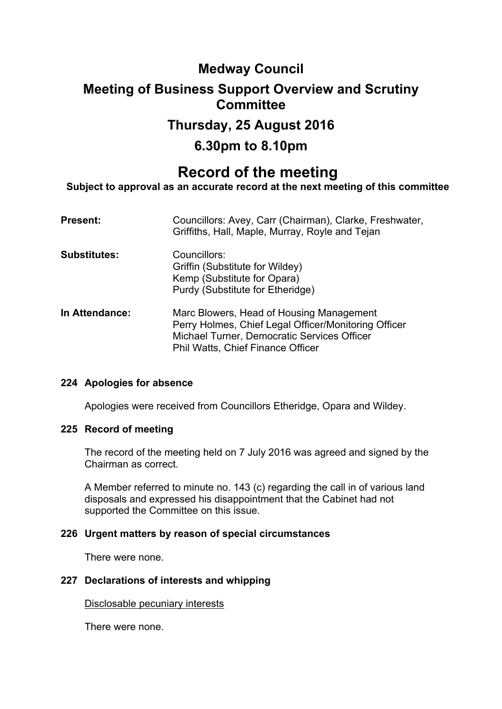## **Medway Council**

## **Meeting of Business Support Overview and Scrutiny Committee**

## **Thursday, 25 August 2016**

## **6.30pm to 8.10pm**

# **Record of the meeting**

**Subject to approval as an accurate record at the next meeting of this committee**

| <b>Present:</b>     | Councillors: Avey, Carr (Chairman), Clarke, Freshwater,<br>Griffiths, Hall, Maple, Murray, Royle and Tejan                                                                                  |
|---------------------|---------------------------------------------------------------------------------------------------------------------------------------------------------------------------------------------|
| <b>Substitutes:</b> | Councillors:<br>Griffin (Substitute for Wildey)<br>Kemp (Substitute for Opara)<br>Purdy (Substitute for Etheridge)                                                                          |
| In Attendance:      | Marc Blowers, Head of Housing Management<br>Perry Holmes, Chief Legal Officer/Monitoring Officer<br>Michael Turner, Democratic Services Officer<br><b>Phil Watts, Chief Finance Officer</b> |

## **224 Apologies for absence**

Apologies were received from Councillors Etheridge, Opara and Wildey.

## **225 Record of meeting**

The record of the meeting held on 7 July 2016 was agreed and signed by the Chairman as correct.

A Member referred to minute no. 143 (c) regarding the call in of various land disposals and expressed his disappointment that the Cabinet had not supported the Committee on this issue.

## **226 Urgent matters by reason of special circumstances**

There were none.

## **227 Declarations of interests and whipping**

Disclosable pecuniary interests

There were none.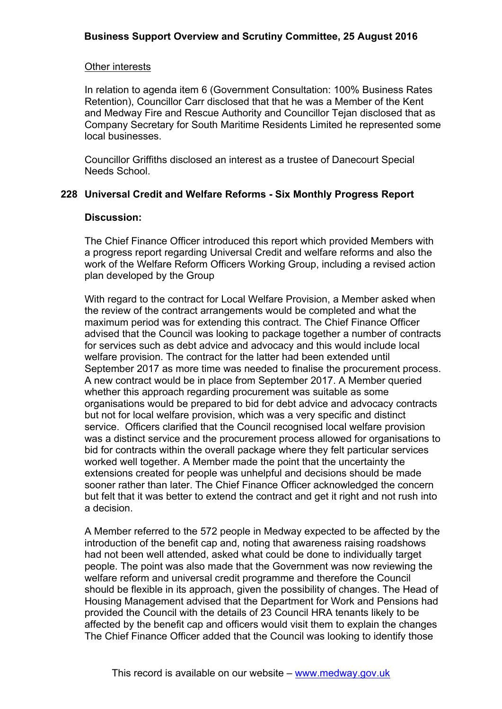## Other interests

In relation to agenda item 6 (Government Consultation: 100% Business Rates Retention), Councillor Carr disclosed that that he was a Member of the Kent and Medway Fire and Rescue Authority and Councillor Tejan disclosed that as Company Secretary for South Maritime Residents Limited he represented some local businesses.

Councillor Griffiths disclosed an interest as a trustee of Danecourt Special Needs School.

## **228 Universal Credit and Welfare Reforms - Six Monthly Progress Report**

## **Discussion:**

The Chief Finance Officer introduced this report which provided Members with a progress report regarding Universal Credit and welfare reforms and also the work of the Welfare Reform Officers Working Group, including a revised action plan developed by the Group

With regard to the contract for Local Welfare Provision, a Member asked when the review of the contract arrangements would be completed and what the maximum period was for extending this contract. The Chief Finance Officer advised that the Council was looking to package together a number of contracts for services such as debt advice and advocacy and this would include local welfare provision. The contract for the latter had been extended until September 2017 as more time was needed to finalise the procurement process. A new contract would be in place from September 2017. A Member queried whether this approach regarding procurement was suitable as some organisations would be prepared to bid for debt advice and advocacy contracts but not for local welfare provision, which was a very specific and distinct service. Officers clarified that the Council recognised local welfare provision was a distinct service and the procurement process allowed for organisations to bid for contracts within the overall package where they felt particular services worked well together. A Member made the point that the uncertainty the extensions created for people was unhelpful and decisions should be made sooner rather than later. The Chief Finance Officer acknowledged the concern but felt that it was better to extend the contract and get it right and not rush into a decision.

A Member referred to the 572 people in Medway expected to be affected by the introduction of the benefit cap and, noting that awareness raising roadshows had not been well attended, asked what could be done to individually target people. The point was also made that the Government was now reviewing the welfare reform and universal credit programme and therefore the Council should be flexible in its approach, given the possibility of changes. The Head of Housing Management advised that the Department for Work and Pensions had provided the Council with the details of 23 Council HRA tenants likely to be affected by the benefit cap and officers would visit them to explain the changes The Chief Finance Officer added that the Council was looking to identify those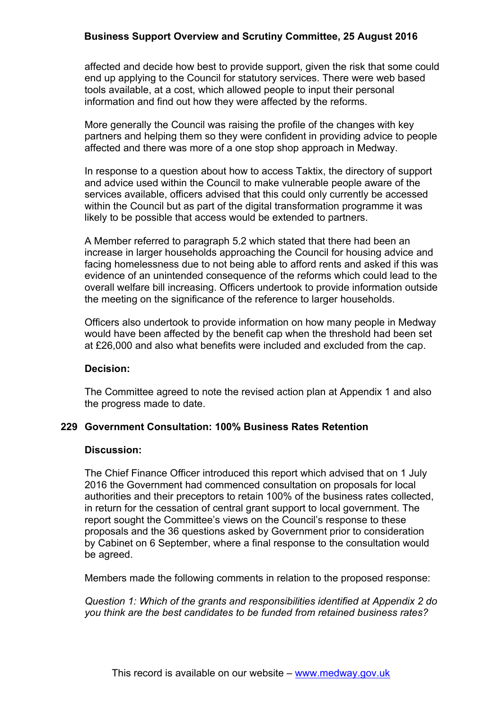## **Business Support Overview and Scrutiny Committee, 25 August 2016**

affected and decide how best to provide support, given the risk that some could end up applying to the Council for statutory services. There were web based tools available, at a cost, which allowed people to input their personal information and find out how they were affected by the reforms.

More generally the Council was raising the profile of the changes with key partners and helping them so they were confident in providing advice to people affected and there was more of a one stop shop approach in Medway.

In response to a question about how to access Taktix, the directory of support and advice used within the Council to make vulnerable people aware of the services available, officers advised that this could only currently be accessed within the Council but as part of the digital transformation programme it was likely to be possible that access would be extended to partners.

A Member referred to paragraph 5.2 which stated that there had been an increase in larger households approaching the Council for housing advice and facing homelessness due to not being able to afford rents and asked if this was evidence of an unintended consequence of the reforms which could lead to the overall welfare bill increasing. Officers undertook to provide information outside the meeting on the significance of the reference to larger households.

Officers also undertook to provide information on how many people in Medway would have been affected by the benefit cap when the threshold had been set at £26,000 and also what benefits were included and excluded from the cap.

#### **Decision:**

The Committee agreed to note the revised action plan at Appendix 1 and also the progress made to date.

## **229 Government Consultation: 100% Business Rates Retention**

#### **Discussion:**

The Chief Finance Officer introduced this report which advised that on 1 July 2016 the Government had commenced consultation on proposals for local authorities and their preceptors to retain 100% of the business rates collected, in return for the cessation of central grant support to local government. The report sought the Committee's views on the Council's response to these proposals and the 36 questions asked by Government prior to consideration by Cabinet on 6 September, where a final response to the consultation would be agreed.

Members made the following comments in relation to the proposed response:

*Question 1: Which of the grants and responsibilities identified at Appendix 2 do you think are the best candidates to be funded from retained business rates?*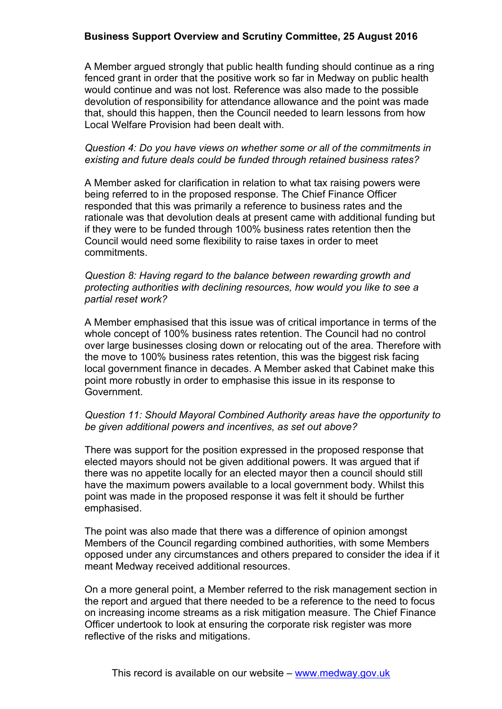## **Business Support Overview and Scrutiny Committee, 25 August 2016**

A Member argued strongly that public health funding should continue as a ring fenced grant in order that the positive work so far in Medway on public health would continue and was not lost. Reference was also made to the possible devolution of responsibility for attendance allowance and the point was made that, should this happen, then the Council needed to learn lessons from how Local Welfare Provision had been dealt with.

#### *Question 4: Do you have views on whether some or all of the commitments in existing and future deals could be funded through retained business rates?*

A Member asked for clarification in relation to what tax raising powers were being referred to in the proposed response. The Chief Finance Officer responded that this was primarily a reference to business rates and the rationale was that devolution deals at present came with additional funding but if they were to be funded through 100% business rates retention then the Council would need some flexibility to raise taxes in order to meet commitments.

#### *Question 8: Having regard to the balance between rewarding growth and protecting authorities with declining resources, how would you like to see a partial reset work?*

A Member emphasised that this issue was of critical importance in terms of the whole concept of 100% business rates retention. The Council had no control over large businesses closing down or relocating out of the area. Therefore with the move to 100% business rates retention, this was the biggest risk facing local government finance in decades. A Member asked that Cabinet make this point more robustly in order to emphasise this issue in its response to Government.

## *Question 11: Should Mayoral Combined Authority areas have the opportunity to be given additional powers and incentives, as set out above?*

There was support for the position expressed in the proposed response that elected mayors should not be given additional powers. It was argued that if there was no appetite locally for an elected mayor then a council should still have the maximum powers available to a local government body. Whilst this point was made in the proposed response it was felt it should be further emphasised.

The point was also made that there was a difference of opinion amongst Members of the Council regarding combined authorities, with some Members opposed under any circumstances and others prepared to consider the idea if it meant Medway received additional resources.

On a more general point, a Member referred to the risk management section in the report and argued that there needed to be a reference to the need to focus on increasing income streams as a risk mitigation measure. The Chief Finance Officer undertook to look at ensuring the corporate risk register was more reflective of the risks and mitigations.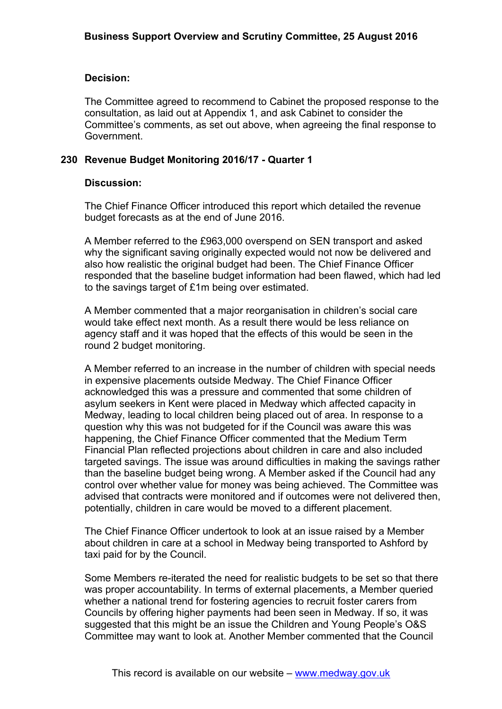#### **Decision:**

The Committee agreed to recommend to Cabinet the proposed response to the consultation, as laid out at Appendix 1, and ask Cabinet to consider the Committee's comments, as set out above, when agreeing the final response to Government.

#### **230 Revenue Budget Monitoring 2016/17 - Quarter 1**

#### **Discussion:**

The Chief Finance Officer introduced this report which detailed the revenue budget forecasts as at the end of June 2016.

A Member referred to the £963,000 overspend on SEN transport and asked why the significant saving originally expected would not now be delivered and also how realistic the original budget had been. The Chief Finance Officer responded that the baseline budget information had been flawed, which had led to the savings target of £1m being over estimated.

A Member commented that a major reorganisation in children's social care would take effect next month. As a result there would be less reliance on agency staff and it was hoped that the effects of this would be seen in the round 2 budget monitoring.

A Member referred to an increase in the number of children with special needs in expensive placements outside Medway. The Chief Finance Officer acknowledged this was a pressure and commented that some children of asylum seekers in Kent were placed in Medway which affected capacity in Medway, leading to local children being placed out of area. In response to a question why this was not budgeted for if the Council was aware this was happening, the Chief Finance Officer commented that the Medium Term Financial Plan reflected projections about children in care and also included targeted savings. The issue was around difficulties in making the savings rather than the baseline budget being wrong. A Member asked if the Council had any control over whether value for money was being achieved. The Committee was advised that contracts were monitored and if outcomes were not delivered then, potentially, children in care would be moved to a different placement.

The Chief Finance Officer undertook to look at an issue raised by a Member about children in care at a school in Medway being transported to Ashford by taxi paid for by the Council.

Some Members re-iterated the need for realistic budgets to be set so that there was proper accountability. In terms of external placements, a Member queried whether a national trend for fostering agencies to recruit foster carers from Councils by offering higher payments had been seen in Medway. If so, it was suggested that this might be an issue the Children and Young People's O&S Committee may want to look at. Another Member commented that the Council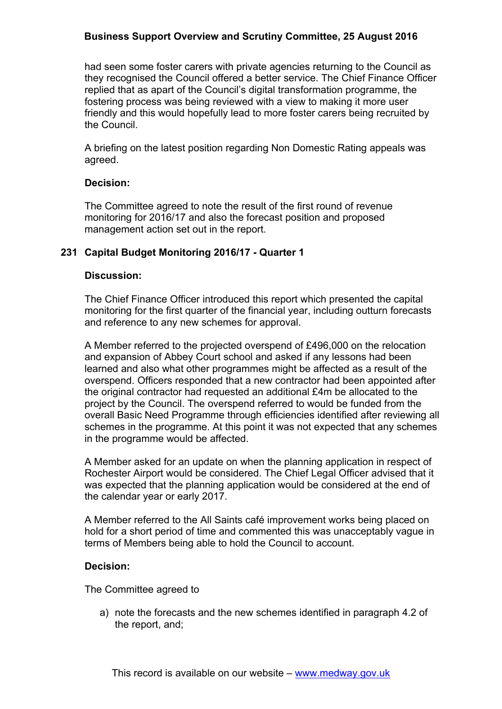## **Business Support Overview and Scrutiny Committee, 25 August 2016**

had seen some foster carers with private agencies returning to the Council as they recognised the Council offered a better service. The Chief Finance Officer replied that as apart of the Council's digital transformation programme, the fostering process was being reviewed with a view to making it more user friendly and this would hopefully lead to more foster carers being recruited by the Council.

A briefing on the latest position regarding Non Domestic Rating appeals was agreed.

## **Decision:**

The Committee agreed to note the result of the first round of revenue monitoring for 2016/17 and also the forecast position and proposed management action set out in the report.

## **231 Capital Budget Monitoring 2016/17 - Quarter 1**

## **Discussion:**

The Chief Finance Officer introduced this report which presented the capital monitoring for the first quarter of the financial year, including outturn forecasts and reference to any new schemes for approval.

A Member referred to the projected overspend of £496,000 on the relocation and expansion of Abbey Court school and asked if any lessons had been learned and also what other programmes might be affected as a result of the overspend. Officers responded that a new contractor had been appointed after the original contractor had requested an additional £4m be allocated to the project by the Council. The overspend referred to would be funded from the overall Basic Need Programme through efficiencies identified after reviewing all schemes in the programme. At this point it was not expected that any schemes in the programme would be affected.

A Member asked for an update on when the planning application in respect of Rochester Airport would be considered. The Chief Legal Officer advised that it was expected that the planning application would be considered at the end of the calendar year or early 2017.

A Member referred to the All Saints café improvement works being placed on hold for a short period of time and commented this was unacceptably vague in terms of Members being able to hold the Council to account.

## **Decision:**

The Committee agreed to

a) note the forecasts and the new schemes identified in paragraph 4.2 of the report, and;